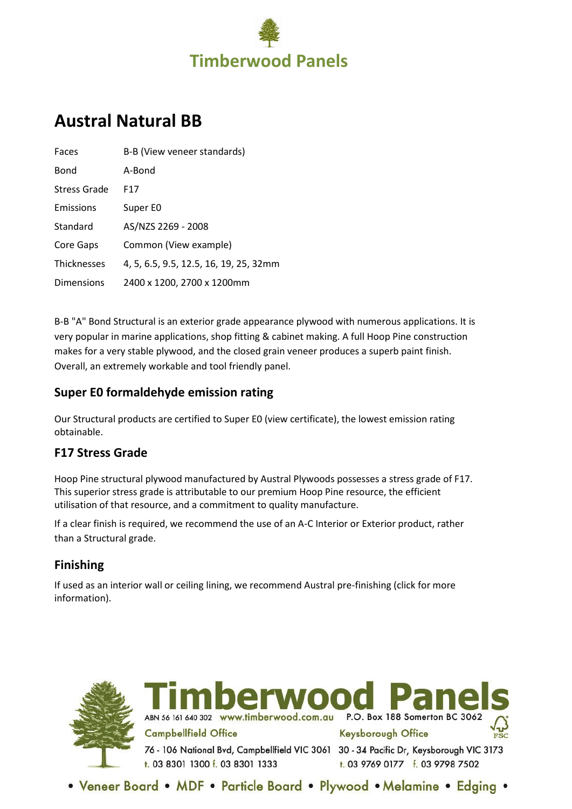

# **Austral Natural BB**

| Faces              | B-B (View veneer standards)            |
|--------------------|----------------------------------------|
| Bond               | A-Bond                                 |
| Stress Grade       | F17                                    |
| Emissions          | Super E0                               |
| Standard           | AS/NZS 2269 - 2008                     |
| Core Gaps          | Common (View example)                  |
| <b>Thicknesses</b> | 4, 5, 6.5, 9.5, 12.5, 16, 19, 25, 32mm |
| Dimensions         | 2400 x 1200, 2700 x 1200mm             |

B-B "A" Bond Structural is an exterior grade appearance plywood with numerous applications. It is very popular in marine applications, shop fitting & cabinet making. A full Hoop Pine construction makes for a very stable plywood, and the closed grain veneer produces a superb paint finish. Overall, an extremely workable and tool friendly panel.

#### **Super E0 formaldehyde emission rating**

Our Structural products are certified to Super E0 (view certificate), the lowest emission rating obtainable.

### **F17 Stress Grade**

Hoop Pine structural plywood manufactured by Austral Plywoods possesses a stress grade of F17. This superior stress grade is attributable to our premium Hoop Pine resource, the efficient utilisation of that resource, and a commitment to quality manufacture.

If a clear finish is required, we recommend the use of an A-C Interior or Exterior product, rather than a Structural grade.

### **Finishing**

If used as an interior wall or ceiling lining, we recommend Austral pre-finishing (click for more information).





• Veneer Board • MDF • Particle Board • Plywood • Melamine • Edging •